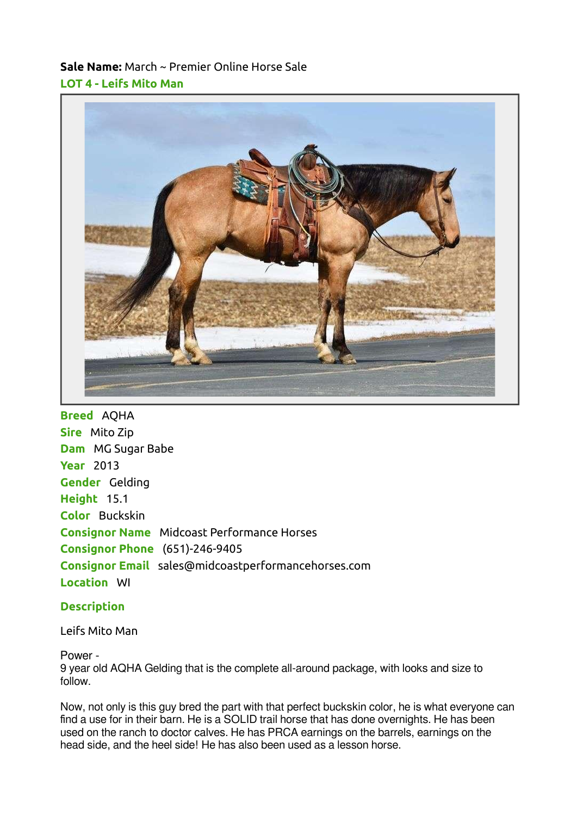## Sale Name: March ~ Premier Online Horse Sale LOT 4 - Leifs Mito Man



Breed AQHA Sire Mito Zip Dam MG Sugar Babe **Year** 2013 Gender Gelding Height 15.1 Color Buckskin Consignor Name Midcoast Performance Horses Consignor Phone (651)-246-9405 Consignor Email sales@midcoastperformancehorses.com Location WI

## **Description**

## Leifs Mito Man

## Power -

9 year old AQHA Gelding that is the complete all-around package, with looks and size to follow.

Now, not only is this guy bred the part with that perfect buckskin color, he is what everyone can find a use for in their barn. He is a SOLID trail horse that has done overnights. He has been used on the ranch to doctor calves. He has PRCA earnings on the barrels, earnings on the head side, and the heel side! He has also been used as a lesson horse.